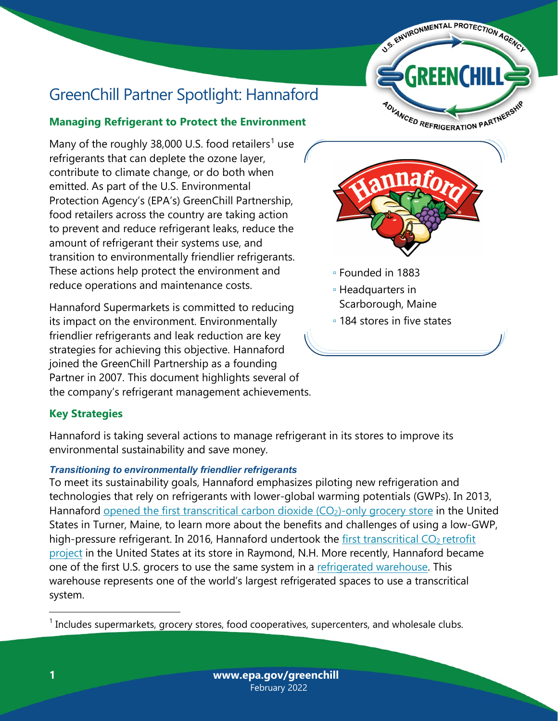

# GreenChill Partner Spotlight: Hannaford

# **Managing Refrigerant to Protect the Environment**

Many of the roughly 38,000 U.S. food retailers<sup>[1](#page-0-0)</sup> use refrigerants that can deplete the ozone layer, contribute to climate change, or do both when emitted. As part of the U.S. Environmental Protection Agency's (EPA's) GreenChill Partnership, food retailers across the country are taking action to prevent and reduce refrigerant leaks, reduce the amount of refrigerant their systems use, and transition to environmentally friendlier refrigerants. These actions help protect the environment and reduce operations and maintenance costs.

Hannaford Supermarkets is committed to reducing its impact on the environment. Environmentally friendlier refrigerants and leak reduction are key strategies for achieving this objective. Hannaford joined the GreenChill Partnership as a founding Partner in 2007. This document highlights several of the company's refrigerant management achievements.



- Founded in 1883
- Headquarters in Scarborough, Maine
- 184 stores in five states

# **Key Strategies**

Hannaford is taking several actions to manage refrigerant in its stores to improve its environmental sustainability and save money.

## *Transitioning to environmentally friendlier refrigerants*

To meet its sustainability goals, Hannaford emphasizes piloting new refrigeration and technologies that rely on refrigerants with lower-global warming potentials (GWPs). In 2013, Hannaford<u>opened the first transcritical carbon dioxide (CO<sub>2</sub>)-only grocery store</u> in the United States in Turner, Maine, to learn more about the benefits and challenges of using a low-GWP, high-pressure refrigerant. In 2016, Hannaford undertook the <u>first transcritical CO<sub>2</sub> retrofit</u> [project](https://www.ecacool.com/en/news/hannaford_plans_first_transcritical_co2_system/) in the United States at its store in Raymond, N.H. More recently, Hannaford became one of the first U.S. grocers to use the same system in a [refrigerated warehouse.](https://r744.com/hannaford-pioneers-transcritical-co2-again/) This warehouse represents one of the world's largest refrigerated spaces to use a transcritical system.

<span id="page-0-0"></span><sup>1</sup> Includes supermarkets, grocery stores, food cooperatives, supercenters, and wholesale clubs.